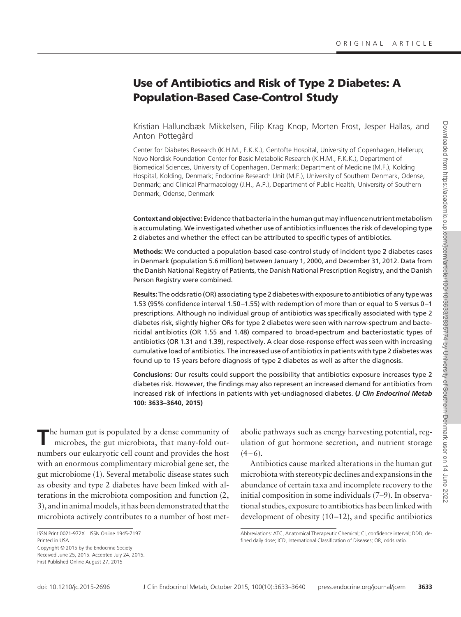# **Use of Antibiotics and Risk of Type 2 Diabetes: A Population-Based Case-Control Study**

Kristian Hallundbæk Mikkelsen, Filip Krag Knop, Morten Frost, Jesper Hallas, and Anton Pottegård

Center for Diabetes Research (K.H.M., F.K.K.), Gentofte Hospital, University of Copenhagen, Hellerup; Novo Nordisk Foundation Center for Basic Metabolic Research (K.H.M., F.K.K.), Department of Biomedical Sciences, University of Copenhagen, Denmark; Department of Medicine (M.F.), Kolding Hospital, Kolding, Denmark; Endocrine Research Unit (M.F.), University of Southern Denmark, Odense, Denmark; and Clinical Pharmacology (J.H., A.P.), Department of Public Health, University of Southern Denmark, Odense, Denmark

**Context and objective:** Evidence that bacteria in the human gutmay influence nutrientmetabolism is accumulating. We investigated whether use of antibiotics influences the risk of developing type 2 diabetes and whether the effect can be attributed to specific types of antibiotics.

**Methods:** We conducted a population-based case-control study of incident type 2 diabetes cases in Denmark (population 5.6 million) between January 1, 2000, and December 31, 2012. Data from the Danish National Registry of Patients, the Danish National Prescription Registry, and the Danish Person Registry were combined.

**Results:** The odds ratio (OR) associating type 2 diabetes with exposure to antibiotics of any type was 1.53 (95% confidence interval 1.50 –1.55) with redemption of more than or equal to 5 versus 0 –1 prescriptions. Although no individual group of antibiotics was specifically associated with type 2 diabetes risk, slightly higher ORs for type 2 diabetes were seen with narrow-spectrum and bactericidal antibiotics (OR 1.55 and 1.48) compared to broad-spectrum and bacteriostatic types of antibiotics (OR 1.31 and 1.39), respectively. A clear dose-response effect was seen with increasing cumulative load of antibiotics. The increased use of antibiotics in patients with type 2 diabetes was found up to 15 years before diagnosis of type 2 diabetes as well as after the diagnosis.

**Conclusions:** Our results could support the possibility that antibiotics exposure increases type 2 diabetes risk. However, the findings may also represent an increased demand for antibiotics from increased risk of infections in patients with yet-undiagnosed diabetes. **(***J Clin Endocrinol Metab* **100: 3633–3640, 2015)**

The human gut is populated by a dense community of microbes, the gut microbiota, that many-fold outnumbers our eukaryotic cell count and provides the host with an enormous complimentary microbial gene set, the gut microbiome (1). Several metabolic disease states such as obesity and type 2 diabetes have been linked with alterations in the microbiota composition and function (2, 3), and in animal models, it has been demonstrated that the microbiota actively contributes to a number of host met-

Received June 25, 2015. Accepted July 24, 2015. First Published Online August 27, 2015

abolic pathways such as energy harvesting potential, regulation of gut hormone secretion, and nutrient storage  $(4 - 6)$ .

Antibiotics cause marked alterations in the human gut microbiota with stereotypic declines and expansions in the abundance of certain taxa and incomplete recovery to the initial composition in some individuals (7–9). In observational studies, exposure to antibiotics has been linked with development of obesity  $(10-12)$ , and specific antibiotics

ISSN Print 0021-972X ISSN Online 1945-7197 Printed in USA Copyright © 2015 by the Endocrine Society

Abbreviations: ATC, Anatomical Therapeutic Chemical; CI, confidence interval; DDD, defined daily dose; ICD, International Classification of Diseases; OR, odds ratio.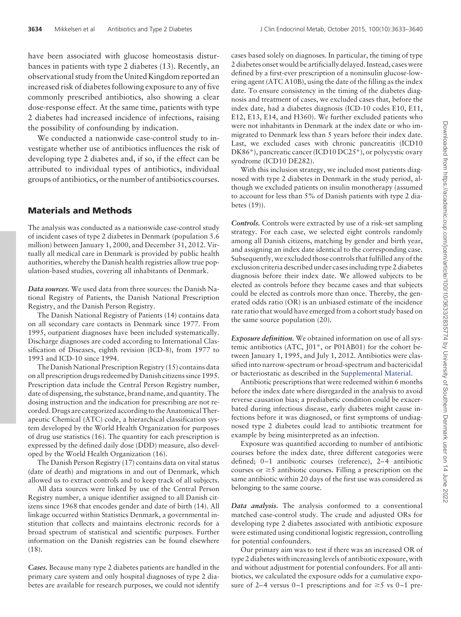have been associated with glucose homeostasis disturbances in patients with type 2 diabetes (13). Recently, an observational study from the United Kingdom reported an increased risk of diabetes following exposure to any of five commonly prescribed antibiotics, also showing a clear dose-response effect. At the same time, patients with type 2 diabetes had increased incidence of infections, raising the possibility of confounding by indication.

We conducted a nationwide case-control study to investigate whether use of antibiotics influences the risk of developing type 2 diabetes and, if so, if the effect can be attributed to individual types of antibiotics, individual groups of antibiotics, or the number of antibiotics courses.

### **Materials and Methods**

The analysis was conducted as a nationwide case-control study of incident cases of type 2 diabetes in Denmark (population 5.6 million) between January 1, 2000, and December 31, 2012. Virtually all medical care in Denmark is provided by public health authorities, whereby the Danish health registries allow true population-based studies, covering all inhabitants of Denmark.

*Data sources.* We used data from three sources: the Danish National Registry of Patients, the Danish National Prescription Registry, and the Danish Person Registry.

The Danish National Registry of Patients (14) contains data on all secondary care contacts in Denmark since 1977. From 1995, outpatient diagnoses have been included systematically. Discharge diagnoses are coded according to International Classification of Diseases, eighth revision (ICD-8), from 1977 to 1993 and ICD-10 since 1994.

The Danish National Prescription Registry (15) contains data on all prescription drugs redeemed by Danish citizens since 1995. Prescription data include the Central Person Registry number, date of dispensing, the substance, brand name, and quantity. The dosing instruction and the indication for prescribing are not recorded. Drugs are categorized according to the Anatomical Therapeutic Chemical (ATC) code, a hierarchical classification system developed by the World Health Organization for purposes of drug use statistics (16). The quantity for each prescription is expressed by the defined daily dose (DDD) measure, also developed by the World Health Organization (16).

The Danish Person Registry (17) contains data on vital status (date of death) and migrations in and out of Denmark, which allowed us to extract controls and to keep track of all subjects.

All data sources were linked by use of the Central Person Registry number, a unique identifier assigned to all Danish citizens since 1968 that encodes gender and date of birth (14). All linkage occurred within Statistics Denmark, a governmental institution that collects and maintains electronic records for a broad spectrum of statistical and scientific purposes. Further information on the Danish registries can be found elsewhere (18).

*Cases.* Because many type 2 diabetes patients are handled in the primary care system and only hospital diagnoses of type 2 diabetes are available for research purposes, we could not identify

cases based solely on diagnoses. In particular, the timing of type 2 diabetes onset would be artificially delayed. Instead, cases were defined by a first-ever prescription of a noninsulin glucose-lowering agent (ATC A10B), using the date of the filling as the index date. To ensure consistency in the timing of the diabetes diagnosis and treatment of cases, we excluded cases that, before the index date, had a diabetes diagnosis (ICD-10 codes E10, E11, E12, E13, E14, and H360). We further excluded patients who were not inhabitants in Denmark at the index date or who immigrated to Denmark less than 5 years before their index date. Last, we excluded cases with chronic pancreatitis (ICD10) DK86\*), pancreatic cancer (ICD10 DC25\*), or polycystic ovary syndrome (ICD10 DE282).

With this inclusion strategy, we included most patients diagnosed with type 2 diabetes in Denmark in the study period, although we excluded patients on insulin monotherapy (assumed to account for less than 5% of Danish patients with type 2 diabetes (19)).

*Controls.* Controls were extracted by use of a risk-set sampling strategy. For each case, we selected eight controls randomly among all Danish citizens, matching by gender and birth year, and assigning an index date identical to the corresponding case. Subsequently, we excluded those controls that fulfilled any of the exclusion criteria described under cases including type 2 diabetes diagnosis before their index date. We allowed subjects to be elected as controls before they became cases and that subjects could be elected as controls more than once. Thereby, the generated odds ratio (OR) is an unbiased estimate of the incidence rate ratio that would have emerged from a cohort study based on the same source population (20).

*Exposure definition.* We obtained information on use of all systemic antibiotics (ATC, J01\*, or P01AB01) for the cohort between January 1, 1995, and July 1, 2012. Antibiotics were classified into narrow-spectrum or broad-spectrum and bactericidal or bacteriostatic as described in the [Supplemental Material.](http://press.endocrine.org/doi/suppl/10.1210/jc.2015-2696/suppl_file/jc-15-2696.pdf  )

Antibiotic prescriptions that were redeemed within 6 months before the index date where disregarded in the analysis to avoid reverse causation bias; a prediabetic condition could be exacerbated during infectious disease, early diabetes might cause infections before it was diagnosed, or first symptoms of undiagnosed type 2 diabetes could lead to antibiotic treatment for example by being misinterpreted as an infection.

Exposure was quantified according to number of antibiotic courses before the index date, three different categories were defined; 0-1 antibiotic courses (reference), 2-4 antibiotic courses or  $\geq$ 5 antibiotic courses. Filling a prescription on the same antibiotic within 20 days of the first use was considered as belonging to the same course.

*Data analysis.* The analysis conformed to a conventional matched case-control study. The crude and adjusted ORs for developing type 2 diabetes associated with antibiotic exposure were estimated using conditional logistic regression, controlling for potential confounders.

Our primary aim was to test if there was an increased OR of type 2 diabetes with increasing levels of antibiotic exposure, with and without adjustment for potential confounders. For all antibiotics, we calculated the exposure odds for a cumulative exposure of 2–4 versus 0–1 prescriptions and for  $\geq$ 5 vs 0–1 pre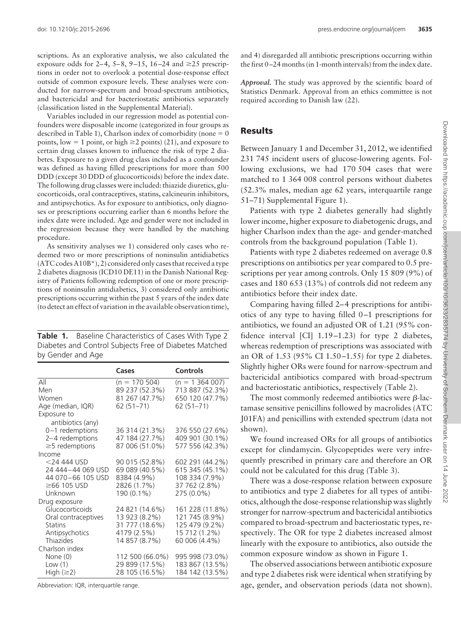scriptions. As an explorative analysis, we also calculated the exposure odds for 2–4, 5–8, 9–15, 16–24 and  $\geq$ 25 prescriptions in order not to overlook a potential dose-response effect outside of common exposure levels. These analyses were conducted for narrow-spectrum and broad-spectrum antibiotics, and bactericidal and for bacteriostatic antibiotics separately (classification listed in the Supplemental Material).

Variables included in our regression model as potential confounders were disposable income (categorized in four groups as described in Table 1), Charlson index of comorbidity (none  $= 0$ points, low = 1 point, or high  $\geq$  2 points) (21), and exposure to certain drug classes known to influence the risk of type 2 diabetes. Exposure to a given drug class included as a confounder was defined as having filled prescriptions for more than 500 DDD (except 30 DDD of glucocorticoids) before the index date. The following drug classes were included: thiazide diuretics, glucocorticoids, oral contraceptives, statins, calcineurin inhibitors, and antipsychotics. As for exposure to antibiotics, only diagnoses or prescriptions occurring earlier than 6 months before the index date were included. Age and gender were not included in the regression because they were handled by the matching procedure.

As sensitivity analyses we 1) considered only cases who redeemed two or more prescriptions of noninsulin antidiabetics (ATC codes A10B\*), 2) considered only cases that received a type 2 diabetes diagnosis (ICD10 DE11) in the Danish National Registry of Patients following redemption of one or more prescriptions of noninsulin antidiabetics, 3) considered only antibiotic prescriptions occurring within the past 5 years of the index date (to detect an effect of variation in the available observation time),

|                   | Table 1. Baseline Characteristics of Cases With Type 2 |
|-------------------|--------------------------------------------------------|
|                   | Diabetes and Control Subjects Free of Diabetes Matched |
| by Gender and Age |                                                        |

|                                  | Cases           | <b>Controls</b>     |
|----------------------------------|-----------------|---------------------|
| All                              | $(n = 170504)$  | $(n = 1, 364, 007)$ |
| Men                              | 89 237 (52.3%)  | 713 887 (52.3%)     |
| Women                            | 81 267 (47.7%)  | 650 120 (47.7%)     |
| Age (median, IQR)<br>Exposure to | 62 (51-71)      | $62(51 - 71)$       |
| antibiotics (any)                |                 |                     |
| $0-1$ redemptions                | 36 314 (21.3%)  | 376 550 (27.6%)     |
| 2-4 redemptions                  | 47 184 (27.7%)  | 409 901 (30.1%)     |
| $\geq$ 5 redemptions             | 87 006 (51.0%)  | 577 556 (42.3%)     |
| Income                           |                 |                     |
| $<$ 24 444 USD                   | 90 015 (52.8%)  | 602 291 (44.2%)     |
| 24 444-44 069 USD                | 69 089 (40.5%)  | 615 345 (45.1%)     |
| 44 070-66 105 USD                | 8384 (4.9%)     | 108 334 (7.9%)      |
| $\geq$ 66 105 USD                | 2826 (1.7%)     | 37 762 (2.8%)       |
| Unknown                          | 190 (0.1%)      | 275 (0.0%)          |
| Drug exposure                    |                 |                     |
| Glucocorticoids                  | 24 821 (14.6%)  | 161 228 (11.8%)     |
| Oral contraceptives              | 13 923 (8.2%)   | 121 745 (8.9%)      |
| <b>Statins</b>                   | 31 777 (18.6%)  | 125 479 (9.2%)      |
| Antipsychotics                   | 4179 (2.5%)     | 15 712 (1.2%)       |
| Thiazides                        | 14 857 (8.7%)   | 60 006 (4.4%)       |
| Charlson index                   |                 |                     |
| None (0)                         | 112 500 (66.0%) | 995 998 (73.0%)     |
| Low $(1)$                        | 29 899 (17.5%)  | 183 867 (13.5%)     |
| High $(\geq 2)$                  | 28 105 (16.5%)  | 184 142 (13.5%)     |

Abbreviation: IQR, interquartile range.

and 4) disregarded all antibiotic prescriptions occurring within the first 0 –24 months (in 1-month intervals) from the index date.

*Approval.* The study was approved by the scientific board of Statistics Denmark. Approval from an ethics committee is not required according to Danish law (22).

#### **Results**

Between January 1 and December 31, 2012, we identified 231 745 incident users of glucose-lowering agents. Following exclusions, we had 170 504 cases that were matched to 1 364 008 control persons without diabetes (52.3% males, median age 62 years, interquartile range 51–71) Supplemental Figure 1).

Patients with type 2 diabetes generally had slightly lower income, higher exposure to diabetogenic drugs, and higher Charlson index than the age- and gender-matched controls from the background population (Table 1).

Patients with type 2 diabetes redeemed on average 0.8 prescriptions on antibiotics per year compared to 0.5 prescriptions per year among controls. Only 15 809 (9%) of cases and 180 653 (13%) of controls did not redeem any antibiotics before their index date.

Comparing having filled 2–4 prescriptions for antibiotics of any type to having filled 0 –1 prescriptions for antibiotics, we found an adjusted OR of 1.21 (95% confidence interval [CI] 1.19 –1.23) for type 2 diabetes, whereas redemption of prescriptions was associated with an OR of 1.53 (95% CI 1.50 –1.55) for type 2 diabetes. Slightly higher ORs were found for narrow-spectrum and bactericidal antibiotics compared with broad-spectrum and bacteriostatic antibiotics, respectively (Table 2).

The most commonly redeemed antibiotics were  $\beta$ -lactamase sensitive penicillins followed by macrolides (ATC J01FA) and penicillins with extended spectrum (data not shown).

We found increased ORs for all groups of antibiotics except for clindamycin. Glycopeptides were very infrequently prescribed in primary care and therefore an OR could not be calculated for this drug (Table 3).

There was a dose-response relation between exposure to antibiotics and type 2 diabetes for all types of antibiotics, although the dose-response relationship was slightly stronger for narrow-spectrum and bactericidal antibiotics compared to broad-spectrum and bacteriostatic types, respectively. The OR for type 2 diabetes increased almost linearly with the exposure to antibiotics, also outside the common exposure window as shown in Figure 1.

The observed associations between antibiotic exposure and type 2 diabetes risk were identical when stratifying by age, gender, and observation periods (data not shown).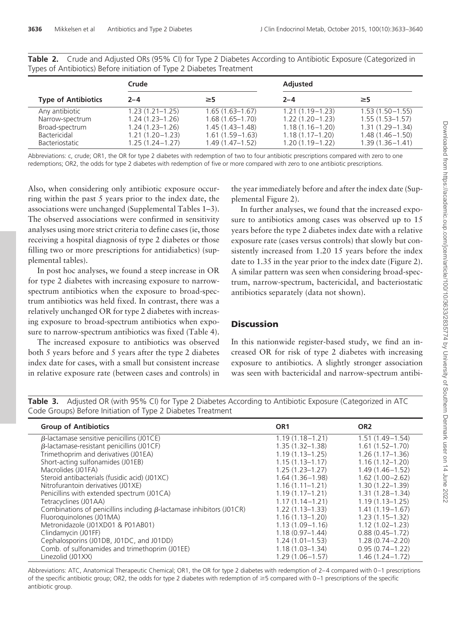|                            | Crude               |                     | <b>Adjusted</b>     |                     |
|----------------------------|---------------------|---------------------|---------------------|---------------------|
| <b>Type of Antibiotics</b> | $2 - 4$             | $\geq$ 5            | $2 - 4$             | $\geq$ 5            |
| Any antibiotic             | $1.23(1.21 - 1.25)$ | $1.65(1.63-1.67)$   | $1.21(1.19-1.23)$   | $1.53(1.50 - 1.55)$ |
| Narrow-spectrum            | $1.24(1.23 - 1.26)$ | $1.68(1.65 - 1.70)$ | $1.22(1.20 - 1.23)$ | $1.55(1.53 - 1.57)$ |
| Broad-spectrum             | $1.24(1.23 - 1.26)$ | $1.45(1.43-1.48)$   | $1.18(1.16 - 1.20)$ | $1.31(1.29 - 1.34)$ |
| Bactericidal               | $1.21(1.20-1.23)$   | $1.61(1.59-1.63)$   | $1.18(1.17 - 1.20)$ | $1.48(1.46 - 1.50)$ |
| <b>Bacteriostatic</b>      | $1.25(1.24 - 1.27)$ | $1.49(1.47-1.52)$   | $1.20(1.19-1.22)$   | $1.39(1.36 - 1.41)$ |

**Table 2.** Crude and Adjusted ORs (95% CI) for Type 2 Diabetes According to Antibiotic Exposure (Categorized in Types of Antibiotics) Before initiation of Type 2 Diabetes Treatment

Abbreviations: c, crude; OR1, the OR for type 2 diabetes with redemption of two to four antibiotic prescriptions compared with zero to one redemptions; OR2, the odds for type 2 diabetes with redemption of five or more compared with zero to one antibiotic prescriptions.

Also, when considering only antibiotic exposure occurring within the past 5 years prior to the index date, the associations were unchanged (Supplemental Tables 1–3). The observed associations were confirmed in sensitivity analyses using more strict criteria to define cases (ie, those receiving a hospital diagnosis of type 2 diabetes or those filling two or more prescriptions for antidiabetics) (supplemental tables).

In post hoc analyses, we found a steep increase in OR for type 2 diabetes with increasing exposure to narrowspectrum antibiotics when the exposure to broad-spectrum antibiotics was held fixed. In contrast, there was a relatively unchanged OR for type 2 diabetes with increasing exposure to broad-spectrum antibiotics when exposure to narrow-spectrum antibiotics was fixed (Table 4).

The increased exposure to antibiotics was observed both 5 years before and 5 years after the type 2 diabetes index date for cases, with a small but consistent increase in relative exposure rate (between cases and controls) in the year immediately before and after the index date (Supplemental Figure 2).

In further analyses, we found that the increased exposure to antibiotics among cases was observed up to 15 years before the type 2 diabetes index date with a relative exposure rate (cases versus controls) that slowly but consistently increased from 1.20 15 years before the index date to 1.35 in the year prior to the index date (Figure 2). A similar pattern was seen when considering broad-spectrum, narrow-spectrum, bactericidal, and bacteriostatic antibiotics separately (data not shown).

## **Discussion**

In this nationwide register-based study, we find an increased OR for risk of type 2 diabetes with increasing exposure to antibiotics. A slightly stronger association was seen with bactericidal and narrow-spectrum antibi-

**Table 3.** Adjusted OR (with 95% CI) for Type 2 Diabetes According to Antibiotic Exposure (Categorized in ATC Code Groups) Before Initiation of Type 2 Diabetes Treatment

| <b>Group of Antibiotics</b>                                                 | OR <sub>1</sub>     | OR <sub>2</sub>     |
|-----------------------------------------------------------------------------|---------------------|---------------------|
| $\beta$ -lactamase sensitive penicillins (J01CE)                            | $1.19(1.18 - 1.21)$ | $1.51(1.49-1.54)$   |
| $\beta$ -lactamase-resistant penicillins (J01CF)                            | $1.35(1.32 - 1.38)$ | $1.61(1.52 - 1.70)$ |
| Trimethoprim and derivatives (J01EA)                                        | $1.19(1.13 - 1.25)$ | $1.26(1.17-1.36)$   |
| Short-acting sulfonamides (J01EB)                                           | $1.15(1.13 - 1.17)$ | $1.16(1.12 - 1.20)$ |
| Macrolides (J01FA)                                                          | $1.25(1.23 - 1.27)$ | $1.49(1.46 - 1.52)$ |
| Steroid antibacterials (fusidic acid) (J01XC)                               | $1.64(1.36 - 1.98)$ | $1.62(1.00 - 2.62)$ |
| Nitrofurantoin derivatives (J01XE)                                          | $1.16(1.11 - 1.21)$ | $1.30(1.22 - 1.39)$ |
| Penicillins with extended spectrum (J01CA)                                  | $1.19(1.17 - 1.21)$ | $1.31(1.28 - 1.34)$ |
| Tetracyclines (J01AA)                                                       | $1.17(1.14 - 1.21)$ | $1.19(1.13 - 1.25)$ |
| Combinations of penicillins including $\beta$ -lactamase inhibitors (J01CR) | $1.22(1.13 - 1.33)$ | $1.41(1.19-1.67)$   |
| Fluoroguinolones (J01MA)                                                    | $1.16(1.13 - 1.20)$ | $1.23(1.15 - 1.32)$ |
| Metronidazole (J01XD01 & P01AB01)                                           | $1.13(1.09 - 1.16)$ | $1.12(1.02 - 1.23)$ |
| Clindamycin (J01FF)                                                         | $1.18(0.97 - 1.44)$ | $0.88(0.45 - 1.72)$ |
| Cephalosporins (J01DB, J01DC, and J01DD)                                    | $1.24(1.01-1.53)$   | $1.28(0.74 - 2.20)$ |
| Comb. of sulfonamides and trimethoprim (J01EE)                              | $1.18(1.03 - 1.34)$ | $0.95(0.74 - 1.22)$ |
| Linezolid (J01XX)                                                           | $1.29(1.06 - 1.57)$ | $1.46(1.24 - 1.72)$ |

Abbreviations: ATC, Anatomical Therapeutic Chemical; OR1, the OR for type 2 diabetes with redemption of 2-4 compared with 0-1 prescriptions of the specific antibiotic group; OR2, the odds for type 2 diabetes with redemption of  $\geq$ 5 compared with 0–1 prescriptions of the specific antibiotic group.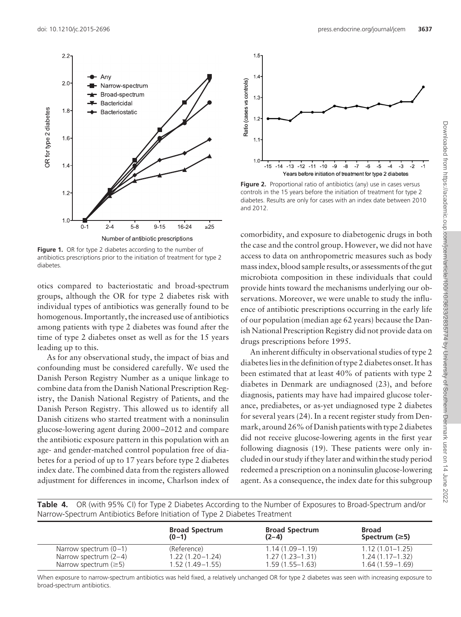

Figure 1. OR for type 2 diabetes according to the number of antibiotics prescriptions prior to the initiation of treatment for type 2 diabetes.

otics compared to bacteriostatic and broad-spectrum groups, although the OR for type 2 diabetes risk with individual types of antibiotics was generally found to be homogenous. Importantly, the increased use of antibiotics among patients with type 2 diabetes was found after the time of type 2 diabetes onset as well as for the 15 years leading up to this.

As for any observational study, the impact of bias and confounding must be considered carefully. We used the Danish Person Registry Number as a unique linkage to combine data from the Danish National Prescription Registry, the Danish National Registry of Patients, and the Danish Person Registry. This allowed us to identify all Danish citizens who started treatment with a noninsulin glucose-lowering agent during 2000 –2012 and compare the antibiotic exposure pattern in this population with an age- and gender-matched control population free of diabetes for a period of up to 17 years before type 2 diabetes index date. The combined data from the registers allowed adjustment for differences in income, Charlson index of

broad-spectrum antibiotics.



Figure 2. Proportional ratio of antibiotics (any) use in cases versus controls in the 15 years before the initiation of treatment for type 2 diabetes. Results are only for cases with an index date between 2010 and 2012.

comorbidity, and exposure to diabetogenic drugs in both the case and the control group. However, we did not have access to data on anthropometric measures such as body mass index, blood sample results, or assessments of the gut microbiota composition in these individuals that could provide hints toward the mechanisms underlying our observations. Moreover, we were unable to study the influence of antibiotic prescriptions occurring in the early life of our population (median age 62 years) because the Danish National Prescription Registry did not provide data on drugs prescriptions before 1995.

An inherent difficulty in observational studies of type 2 diabetes lies in the definition of type 2 diabetes onset. It has been estimated that at least 40% of patients with type 2 diabetes in Denmark are undiagnosed (23), and before diagnosis, patients may have had impaired glucose tolerance, prediabetes, or as-yet undiagnosed type 2 diabetes for several years (24). In a recent register study from Denmark, around 26% of Danish patients with type 2 diabetes did not receive glucose-lowering agents in the first year following diagnosis (19). These patients were only included in our study if they later and within the study period redeemed a prescription on a noninsulin glucose-lowering agent. As a consequence, the index date for this subgroup

**Table 4.** OR (with 95% CI) for Type 2 Diabetes According to the Number of Exposures to Broad-Spectrum and/or Narrow-Spectrum Antibiotics Before Initiation of Type 2 Diabetes Treatment

|                            | <b>Broad Spectrum</b><br>$(0-1)$ | <b>Broad Spectrum</b><br>$(2-4)$ | <b>Broad</b><br>Spectrum $(\geq)$ |
|----------------------------|----------------------------------|----------------------------------|-----------------------------------|
| Narrow spectrum $(0-1)$    | (Reference)                      | $1.14(1.09 - 1.19)$              | $1.12(1.01 - 1.25)$               |
| Narrow spectrum $(2-4)$    | $1.22(1.20 - 1.24)$              | $1.27(1.23 - 1.31)$              | $1.24(1.17-1.32)$                 |
| Narrow spectrum $(\geq 5)$ | $1.52(1.49-1.55)$                | $1.59(1.55-1.63)$                | $1.64(1.59 - 1.69)$               |

When exposure to narrow-spectrum antibiotics was held fixed, a relatively unchanged OR for type 2 diabetes was seen with increasing exposure to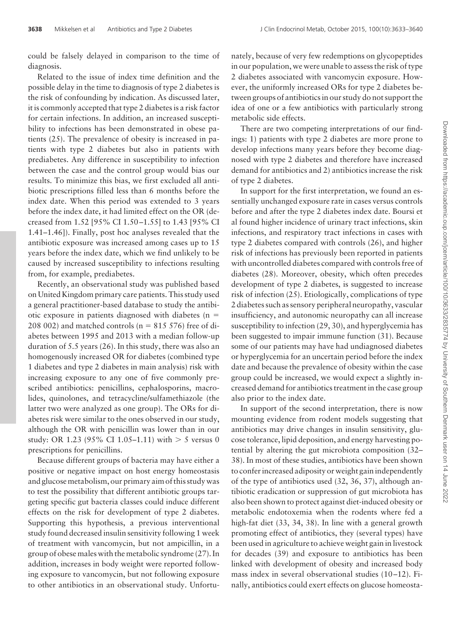could be falsely delayed in comparison to the time of diagnosis.

Related to the issue of index time definition and the possible delay in the time to diagnosis of type 2 diabetes is the risk of confounding by indication. As discussed later, it is commonly accepted that type 2 diabetes is a risk factor for certain infections. In addition, an increased susceptibility to infections has been demonstrated in obese patients (25). The prevalence of obesity is increased in patients with type 2 diabetes but also in patients with prediabetes. Any difference in susceptibility to infection between the case and the control group would bias our results. To minimize this bias, we first excluded all antibiotic prescriptions filled less than 6 months before the index date. When this period was extended to 3 years before the index date, it had limited effect on the OR (decreased from 1.52 [95% CI 1.50 –1.55] to 1.43 [95% CI 1.41–1.46]). Finally, post hoc analyses revealed that the antibiotic exposure was increased among cases up to 15 years before the index date, which we find unlikely to be caused by increased susceptibility to infections resulting from, for example, prediabetes.

Recently, an observational study was published based on United Kingdom primary care patients. This study used a general practitioner-based database to study the antibiotic exposure in patients diagnosed with diabetes  $(n =$ 208 002) and matched controls ( $n = 815$  576) free of diabetes between 1995 and 2013 with a median follow-up duration of 5.5 years (26). In this study, there was also an homogenously increased OR for diabetes (combined type 1 diabetes and type 2 diabetes in main analysis) risk with increasing exposure to any one of five commonly prescribed antibiotics: penicillins, cephalosporins, macrolides, quinolones, and tetracycline/sulfamethiazole (the latter two were analyzed as one group). The ORs for diabetes risk were similar to the ones observed in our study, although the OR with penicillin was lower than in our study: OR 1.23 (95% CI 1.05–1.11) with  $> 5$  versus 0 prescriptions for penicillins.

Because different groups of bacteria may have either a positive or negative impact on host energy homeostasis and glucose metabolism, our primary aim of this study was to test the possibility that different antibiotic groups targeting specific gut bacteria classes could induce different effects on the risk for development of type 2 diabetes. Supporting this hypothesis, a previous interventional study found decreased insulin sensitivity following 1 week of treatment with vancomycin, but not ampicillin, in a group of obese males with the metabolic syndrome (27). In addition, increases in body weight were reported following exposure to vancomycin, but not following exposure to other antibiotics in an observational study. Unfortu-

nately, because of very few redemptions on glycopeptides in our population, we were unable to assess the risk of type 2 diabetes associated with vancomycin exposure. However, the uniformly increased ORs for type 2 diabetes between groups of antibiotics in our study do not support the idea of one or a few antibiotics with particularly strong metabolic side effects.

There are two competing interpretations of our findings: 1) patients with type 2 diabetes are more prone to develop infections many years before they become diagnosed with type 2 diabetes and therefore have increased demand for antibiotics and 2) antibiotics increase the risk of type 2 diabetes.

In support for the first interpretation, we found an essentially unchanged exposure rate in cases versus controls before and after the type 2 diabetes index date. Boursi et al found higher incidence of urinary tract infections, skin infections, and respiratory tract infections in cases with type 2 diabetes compared with controls (26), and higher risk of infections has previously been reported in patients with uncontrolled diabetes compared with controls free of diabetes (28). Moreover, obesity, which often precedes development of type 2 diabetes, is suggested to increase risk of infection (25). Etiologically, complications of type 2 diabetes such as sensory peripheral neuropathy, vascular insufficiency, and autonomic neuropathy can all increase susceptibility to infection (29, 30), and hyperglycemia has been suggested to impair immune function (31). Because some of our patients may have had undiagnosed diabetes or hyperglycemia for an uncertain period before the index date and because the prevalence of obesity within the case group could be increased, we would expect a slightly increased demand for antibiotics treatment in the case group also prior to the index date.

In support of the second interpretation, there is now mounting evidence from rodent models suggesting that antibiotics may drive changes in insulin sensitivity, glucose tolerance, lipid deposition, and energy harvesting potential by altering the gut microbiota composition (32– 38). In most of these studies, antibiotics have been shown to confer increased adiposity or weight gain independently of the type of antibiotics used (32, 36, 37), although antibiotic eradication or suppression of gut microbiota has also been shown to protect against diet-induced obesity or metabolic endotoxemia when the rodents where fed a high-fat diet (33, 34, 38). In line with a general growth promoting effect of antibiotics, they (several types) have been used in agriculture to achieve weight gain in livestock for decades (39) and exposure to antibiotics has been linked with development of obesity and increased body mass index in several observational studies (10-12). Finally, antibiotics could exert effects on glucose homeosta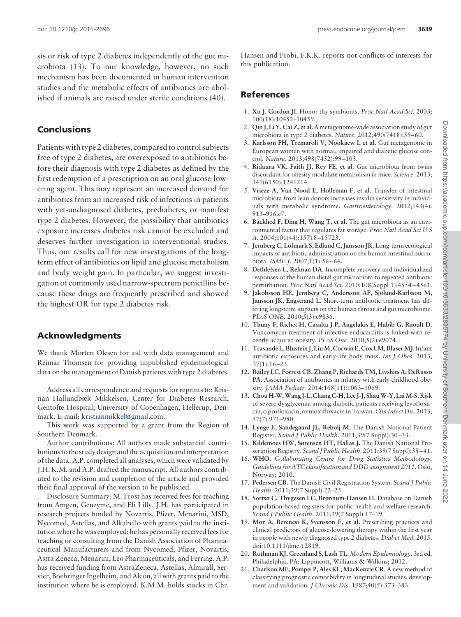sis or risk of type 2 diabetes independently of the gut microbiota (13). To our knowledge, however, no such mechanism has been documented in human intervention studies and the metabolic effects of antibiotics are abolished if animals are raised under sterile conditions (40).

## **Conclusions**

Patients with type 2 diabetes, compared to control subjects free of type 2 diabetes, are overexposed to antibiotics before their diagnosis with type 2 diabetes as defined by the first redemption of a prescription on an oral glucose-lowering agent. This may represent an increased demand for antibiotics from an increased risk of infections in patients with yet-undiagnosed diabetes, prediabetes, or manifest type 2 diabetes. However, the possibility that antibiotics exposure increases diabetes risk cannot be excluded and deserves further investigation in interventional studies. Thus, our results call for new investigations of the longterm effect of antibiotics on lipid and glucose metabolism and body weight gain. In particular, we suggest investigation of commonly used narrow-spectrum penicillins because these drugs are frequently prescribed and showed the highest OR for type 2 diabetes risk.

# **Acknowledgments**

We thank Morten Olesen for aid with data management and Reimar Thomsen for providing unpublished epidemiological data on the management of Danish patients with type 2 diabetes.

Address all correspondence and requests for reprints to: Kristian Hallundbæk Mikkelsen, Center for Diabetes Research, Gentofte Hospital, University of Copenhagen, Hellerup, Denmark. E-mail: [kristianmikkel@gmail.com.](mailto:kristianmikkel@gmail.com)

This work was supported by a grant from the Region of Southern Denmark.

Author contributions: All authors made substantial contributions to the study design and the acquisition and interpretation of the data. A.P. completed all analyses, which were validated by J.H. K.M. and A.P. drafted the manuscript. All authors contributed to the revision and completion of the article and provided their final approval of the version to be published.

Disclosure Summary: M. Frost has received fees for teaching from Amgen, Genzyme, and Eli Lilly. J.H. has participated in research projects funded by Novartis, Pfizer, Menarini, MSD, Nycomed, Astellas, and Alkabello with grants paid to the institution where he was employed; he has personally received fees for teaching or consulting from the Danish Association of Pharmaceutical Manufacturers and from Nycomed, Pfizer, Novartis, Astra Zeneca, Menarini, Leo Pharmaceuticals, and Ferring. A.P. has received funding from AstraZeneca, Astellas, Almirall, Servier, Boehringer Ingelheim, and Alcon, all with grants paid to the institution where he is employed. K.M.M. holds stocks in Chr. Hansen and Probi. F.K.K. reports not conflicts of interests for this publication.

## **References**

- 1. **Xu J, Gordon JI.** Honor thy symbionts. *Proc Natl Acad Sci*. 2003; 100(18):10452–10459.
- 2. **Qin J, Li Y, Cai Z, et al.** A metagenome-wide association study of gut microbiota in type 2 diabetes. *Nature*. 2012;490(7418):55– 60.
- 3. **Karlsson FH, Tremaroli V, Nookaew I, et al.** Gut metagenome in European women with normal, impaired and diabetic glucose control. *Nature*. 2013;498(7452):99 –103.
- 4. **Ridaura VK, Faith JJ, Rey FE, et al.** Gut microbiota from twins discordant for obesity modulate metabolism in mice. *Science.* 2013; 341(6150):1241214.
- 5. **Vrieze A, Van Nood E, Holleman F, et al.** Transfer of intestinal microbiota from lean donors increases insulin sensitivity in individuals with metabolic syndrome. *Gastroenterology.* 2012;143(4): 913–916.e7.
- 6. **Bäckhed F, Ding H, Wang T, et al.** The gut microbiota as an environmental factor that regulates fat storage. *Proc Natl Acad Sci U S A*. 2004;101(44):15718 –15723.
- 7. **Jernberg C, Löfmark S, Edlund C, Jansson JK.** Long-term ecological impacts of antibiotic administration on the human intestinal microbiota. *ISME J*. 2007;1(1):56 – 66.
- 8. **Dethlefsen L, Relman DA.** Incomplete recovery and individualized responses of the human distal gut microbiota to repeated antibiotic perturbation. *Proc Natl Acad Sci*. 2010;108(Suppl 1):4554 – 4561.
- 9. **Jakobsson HE, Jernberg C, Andersson AF, Sjölund-Karlsson M, Jansson JK, Engstrand L.** Short-term antibiotic treatment has differing long-term impacts on the human throat and gut microbiome. *PLoS ONE*. 2010;5(3):e9836.
- 10. **Thuny F, Richet H, Casalta J-P, Angelakis E, Habib G, Raoult D.** Vancomycin treatment of infective endocarditis is linked with recently acquired obesity. *PLoS One.* 2010;5(2):e9074.
- 11. **Trasande L, Blustein J, LiuM, Corwin E, Cox LM, BlaserMJ.**Infant antibiotic exposures and early-life body mass. *Int J Obes*. 2013;  $37(1):16 - 23.$
- 12. **Bailey LC, Forrest CB, Zhang P, Richards TM, Livshits A, DeRusso PA.** Association of antibiotics in infancy with early childhood obesity. *JAMA Pediatr.* 2014;168(11):1063–1069.
- 13. **Chou H-W,Wang J-L, Chang C-H, Lee J-J, ShauW-Y, LaiM-S.**Risk of severe dysglycemia among diabetic patients receiving levofloxacin, ciprofloxacin, or moxifloxacin in Taiwan.*Clin Infect Dis.* 2013; 57(7):971–980.
- 14. **Lynge E, Sandegaard JL, Rebolj M.** The Danish National Patient Register. *Scand J Public Health*. 2011;39(7 Suppl):30 –33.
- 15. **Kildemoes HW, Sørensen HT, Hallas J.** The Danish National Prescription Registry. *Scand J Public Health*. 2011;39(7 Suppl):38 – 41.
- 16. **WHO.** *Collaborating Centre for Drug Statistics Methodology. Guidelines for ATC classification and DDD assignment 2011*. Oslo, Norway; 2010.
- 17. **Pedersen CB.** The Danish Civil Registration System. *Scand J Public Health*. 2011;39(7 Suppl):22–25.
- 18. **Sortsø C, Thygesen LC, Brønnum-Hansen H.** Database on Danish population-based registers for public health and welfare research. *Scand J Public Health*. 2011;39(7 Suppl):17–19.
- 19. **Mor A, Berencsi K, Svensson E, et al.** Prescribing practices and clinical predictors of glucose-lowering therapy within the first year in people with newly diagnosed type 2 diabetes. *Diabet Med.* 2015. doi:10.1111/dme.12819.
- 20. **Rothman KJ, Greenland S, Lash TL.** *Modern Epidemiology*. 3rd ed. Philadelphia, PA: Lippincott, Williams & Wilkins; 2012.
- 21. **Charlson ME, Pompei P, Ales KL, MacKenzie CR.** A new method of classifying prognostic comorbidity in longitudinal studies: development and validation. *J Chronic Dis*. 1987;40(5):373–383.